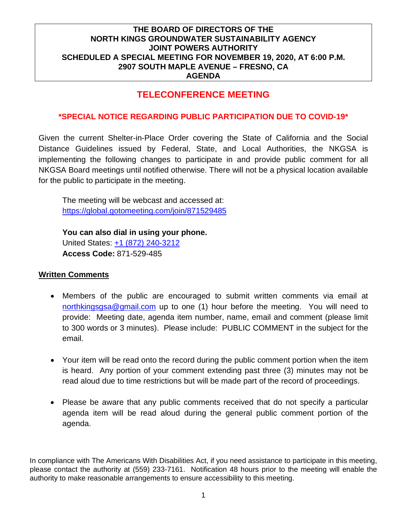# **TELECONFERENCE MEETING**

#### **\*SPECIAL NOTICE REGARDING PUBLIC PARTICIPATION DUE TO COVID-19\***

Given the current Shelter-in-Place Order covering the State of California and the Social Distance Guidelines issued by Federal, State, and Local Authorities, the NKGSA is implementing the following changes to participate in and provide public comment for all NKGSA Board meetings until notified otherwise. There will not be a physical location available for the public to participate in the meeting.

The meeting will be webcast and accessed at: <https://global.gotomeeting.com/join/871529485>

**You can also dial in using your phone.**  United States: [+1 \(872\) 240-3212](tel:+18722403212,,871529485) **Access Code:** 871-529-485

#### **Written Comments**

- Members of the public are encouraged to submit written comments via email at [northkingsgsa@gmail.com](mailto:northkingsgsa@gmail.com) up to one (1) hour before the meeting. You will need to provide: Meeting date, agenda item number, name, email and comment (please limit to 300 words or 3 minutes). Please include: PUBLIC COMMENT in the subject for the email.
- Your item will be read onto the record during the public comment portion when the item is heard. Any portion of your comment extending past three (3) minutes may not be read aloud due to time restrictions but will be made part of the record of proceedings.
- Please be aware that any public comments received that do not specify a particular agenda item will be read aloud during the general public comment portion of the agenda.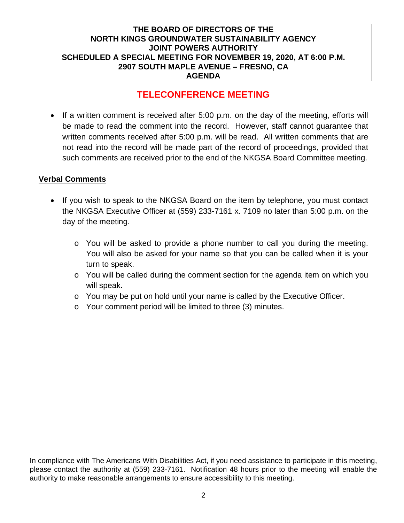# **TELECONFERENCE MEETING**

• If a written comment is received after 5:00 p.m. on the day of the meeting, efforts will be made to read the comment into the record. However, staff cannot guarantee that written comments received after 5:00 p.m. will be read. All written comments that are not read into the record will be made part of the record of proceedings, provided that such comments are received prior to the end of the NKGSA Board Committee meeting.

#### **Verbal Comments**

- If you wish to speak to the NKGSA Board on the item by telephone, you must contact the NKGSA Executive Officer at (559) 233-7161 x. 7109 no later than 5:00 p.m. on the day of the meeting.
	- o You will be asked to provide a phone number to call you during the meeting. You will also be asked for your name so that you can be called when it is your turn to speak.
	- $\circ$  You will be called during the comment section for the agenda item on which you will speak.
	- o You may be put on hold until your name is called by the Executive Officer.
	- o Your comment period will be limited to three (3) minutes.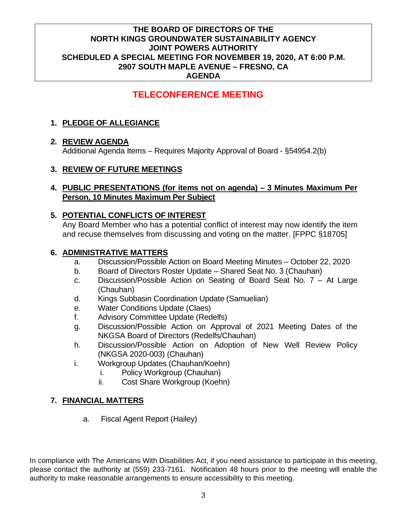# **TELECONFERENCE MEETING**

## **1. PLEDGE OF ALLEGIANCE**

### **2. REVIEW AGENDA**

Additional Agenda Items – Requires Majority Approval of Board - §54954.2(b)

#### **3. REVIEW OF FUTURE MEETINGS**

#### **4. PUBLIC PRESENTATIONS (for items not on agenda) – 3 Minutes Maximum Per Person, 10 Minutes Maximum Per Subject**

#### **5. POTENTIAL CONFLICTS OF INTEREST**

Any Board Member who has a potential conflict of interest may now identify the item and recuse themselves from discussing and voting on the matter. [FPPC §18705]

#### **6. ADMINISTRATIVE MATTERS**

- a. Discussion/Possible Action on Board Meeting Minutes October 22, 2020
- b. Board of Directors Roster Update Shared Seat No. 3 (Chauhan)
- c. Discussion/Possible Action on Seating of Board Seat No. 7 At Large (Chauhan)
- d. Kings Subbasin Coordination Update (Samuelian)
- e. Water Conditions Update (Claes)
- f. Advisory Committee Update (Redelfs)
- g. Discussion/Possible Action on Approval of 2021 Meeting Dates of the NKGSA Board of Directors (Redelfs/Chauhan)
- h. Discussion/Possible Action on Adoption of New Well Review Policy (NKGSA 2020-003) (Chauhan)
- i. Workgroup Updates (Chauhan/Koehn)
	- i. Policy Workgroup (Chauhan)
	- ii. Cost Share Workgroup (Koehn)

### **7. FINANCIAL MATTERS**

a. Fiscal Agent Report (Hailey)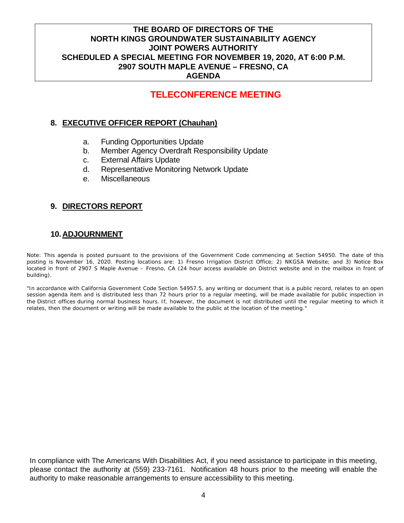# **TELECONFERENCE MEETING**

#### **8. EXECUTIVE OFFICER REPORT (Chauhan)**

- a. Funding Opportunities Update
- b. Member Agency Overdraft Responsibility Update
- c. External Affairs Update
- d. Representative Monitoring Network Update
- e. Miscellaneous

### **9. DIRECTORS REPORT**

#### **10.ADJOURNMENT**

Note: This agenda is posted pursuant to the provisions of the Government Code commencing at Section 54950. The date of this posting is November 16, 2020. Posting locations are: 1) Fresno Irrigation District Office; 2) NKGSA Website; and 3) Notice Box located in front of 2907 S Maple Avenue – Fresno, CA (24 hour access available on District website and in the mailbox in front of building).

"In accordance with California Government Code Section 54957.5, any writing or document that is a public record, relates to an open session agenda item and is distributed less than 72 hours prior to a regular meeting, will be made available for public inspection in the District offices during normal business hours. If, however, the document is not distributed until the regular meeting to which it relates, then the document or writing will be made available to the public at the location of the meeting."